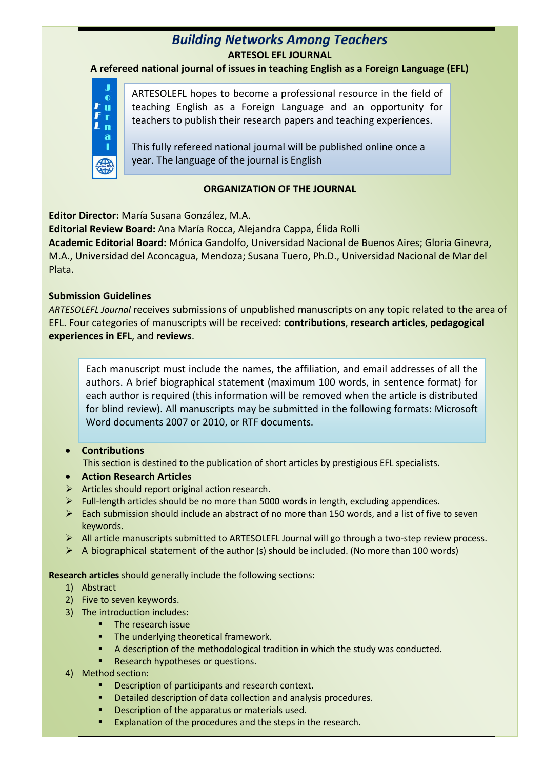## *Building Networks Among Teachers* **ARTESOL EFL JOURNAL**

**A refereed national journal of issues in teaching English as a Foreign Language (EFL)**



ARTESOLEFL hopes to become a professional resource in the field of teaching English as a Foreign Language and an opportunity for teachers to publish their research papers and teaching experiences.

This fully refereed national journal will be published online once a year. The language of the journal is English

## **ORGANIZATION OF THE JOURNAL**

**Editor Director:** María Susana González, M.A.

**Editorial Review Board:** Ana María Rocca, Alejandra Cappa, Élida Rolli **Academic Editorial Board:** Mónica Gandolfo, Universidad Nacional de Buenos Aires; Gloria Ginevra, M.A., Universidad del Aconcagua, Mendoza; Susana Tuero, Ph.D., Universidad Nacional de Mar del Plata.

### **Submission Guidelines**

*ARTESOLEFL Journal* receives submissions of unpublished manuscripts on any topic related to the area of EFL. Four categories of manuscripts will be received: **contributions**, **research articles**, **pedagogical experiences in EFL**, and **reviews**.

Each manuscript must include the names, the affiliation, and email addresses of all the authors. A brief biographical statement (maximum 100 words, in sentence format) for each author is required (this information will be removed when the article is distributed for blind review). All manuscripts may be submitted in the following formats: Microsoft Word documents 2007 or 2010, or RTF documents.

#### **Contributions**

This section is destined to the publication of short articles by prestigious EFL specialists.

- **Action Research Articles**
- $\triangleright$  Articles should report original action research.
- $\triangleright$  Full-length articles should be no more than 5000 words in length, excluding appendices.
- $\triangleright$  Each submission should include an abstract of no more than 150 words, and a list of five to seven keywords.
- All article manuscripts submitted to ARTESOLEFL Journal will go through a two-step review process.
- $\triangleright$  A biographical statement of the author (s) should be included. (No more than 100 words)

**Research articles** should generally include the following sections:

- 1) Abstract
- 2) Five to seven keywords.
- 3) The introduction includes:
	- **The research issue**
	- **The underlying theoretical framework.**
	- A description of the methodological tradition in which the study was conducted.
	- Research hypotheses or questions.
- 4) Method section:
	- Description of participants and research context.
	- Detailed description of data collection and analysis procedures.
	- **1** Description of the apparatus or materials used.
	- Explanation of the procedures and the steps in the research.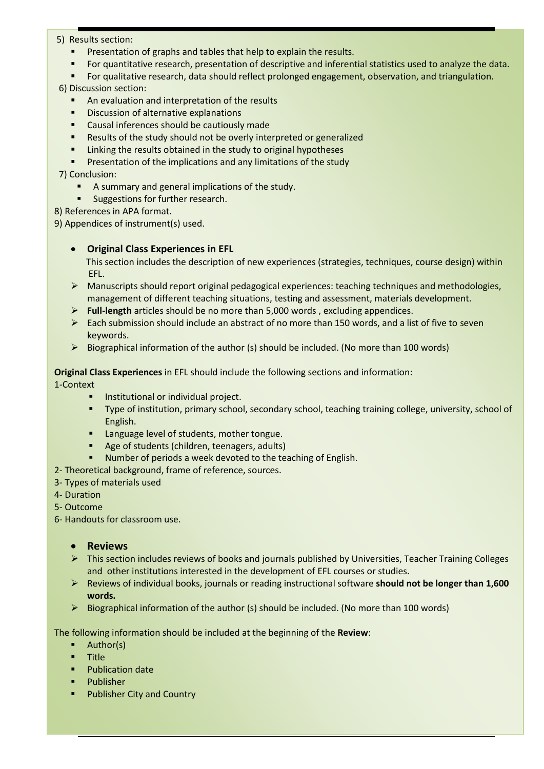#### 5) Results section:

- Presentation of graphs and tables that help to explain the results.
- For quantitative research, presentation of descriptive and inferential statistics used to analyze the data.
- For qualitative research, data should reflect prolonged engagement, observation, and triangulation.

6) Discussion section:

- **An evaluation and interpretation of the results**
- Discussion of alternative explanations
- **EXEC** Causal inferences should be cautiously made
- **EXECT** Results of the study should not be overly interpreted or generalized
- Linking the results obtained in the study to original hypotheses
- Presentation of the implications and any limitations of the study

#### 7) Conclusion:

- A summary and general implications of the study.
- **Suggestions for further research.**

8) References in APA format.

9) Appendices of instrument(s) used.

#### **Original Class Experiences in EFL**

 This section includes the description of new experiences (strategies, techniques, course design) within EFL.

- $\triangleright$  Manuscripts should report original pedagogical experiences: teaching techniques and methodologies, management of different teaching situations, testing and assessment, materials development.
- **Full-length** articles should be no more than 5,000 words , excluding appendices.
- $\triangleright$  Each submission should include an abstract of no more than 150 words, and a list of five to seven keywords.
- $\triangleright$  Biographical information of the author (s) should be included. (No more than 100 words)

#### **Original Class Experiences** in EFL should include the following sections and information:

1-Context

- **Institutional or individual project.**
- Type of institution, primary school, secondary school, teaching training college, university, school of English.
- **EXEC** Language level of students, mother tongue.
- Age of students (children, teenagers, adults)
- Number of periods a week devoted to the teaching of English.
- 2- Theoretical background, frame of reference, sources.
- 3- Types of materials used
- 4- Duration
- 5- Outcome
- 6- Handouts for classroom use.

#### **Reviews**

- $\triangleright$  This section includes reviews of books and journals published by Universities, Teacher Training Colleges and other institutions interested in the development of EFL courses or studies.
- Reviews of individual books, journals or reading instructional software **should not be longer than 1,600 words.**
- $\triangleright$  Biographical information of the author (s) should be included. (No more than 100 words)

The following information should be included at the beginning of the **Review**:

- Author(s)
- **Title**
- Publication date
- Publisher
- Publisher City and Country